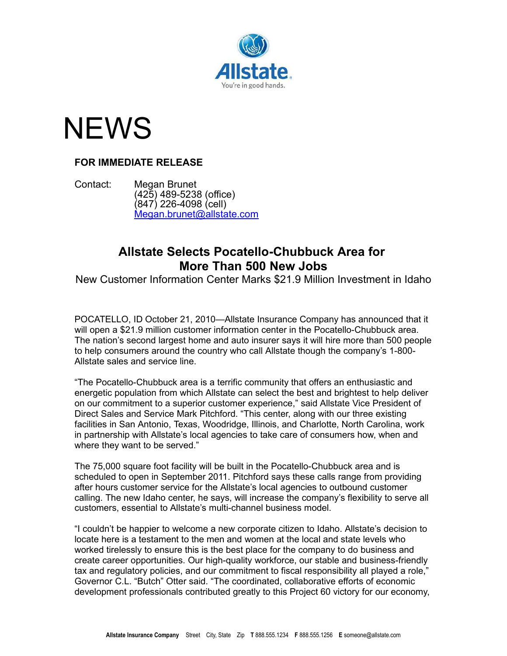

## **NEWS**

## **FOR IMMEDIATE RELEASE**

Contact: Megan Brunet (425) 489-5238 (office) (847) 226-4098 (cell) [Megan.brunet@allstate.com](mailto:Megan.brunet@allstate.com)

## **Allstate Selects Pocatello-Chubbuck Area for More Than 500 New Jobs**

New Customer Information Center Marks \$21.9 Million Investment in Idaho

POCATELLO, ID October 21, 2010—Allstate Insurance Company has announced that it will open a \$21.9 million customer information center in the Pocatello-Chubbuck area. The nation's second largest home and auto insurer says it will hire more than 500 people to help consumers around the country who call Allstate though the company's 1-800- Allstate sales and service line.

"The Pocatello-Chubbuck area is a terrific community that offers an enthusiastic and energetic population from which Allstate can select the best and brightest to help deliver on our commitment to a superior customer experience," said Allstate Vice President of Direct Sales and Service Mark Pitchford. "This center, along with our three existing facilities in San Antonio, Texas, Woodridge, Illinois, and Charlotte, North Carolina, work in partnership with Allstate's local agencies to take care of consumers how, when and where they want to be served."

The 75,000 square foot facility will be built in the Pocatello-Chubbuck area and is scheduled to open in September 2011. Pitchford says these calls range from providing after hours customer service for the Allstate's local agencies to outbound customer calling. The new Idaho center, he says, will increase the company's flexibility to serve all customers, essential to Allstate's multi-channel business model.

"I couldn't be happier to welcome a new corporate citizen to Idaho. Allstate's decision to locate here is a testament to the men and women at the local and state levels who worked tirelessly to ensure this is the best place for the company to do business and create career opportunities. Our high-quality workforce, our stable and business-friendly tax and regulatory policies, and our commitment to fiscal responsibility all played a role," Governor C.L. "Butch" Otter said. "The coordinated, collaborative efforts of economic development professionals contributed greatly to this Project 60 victory for our economy,